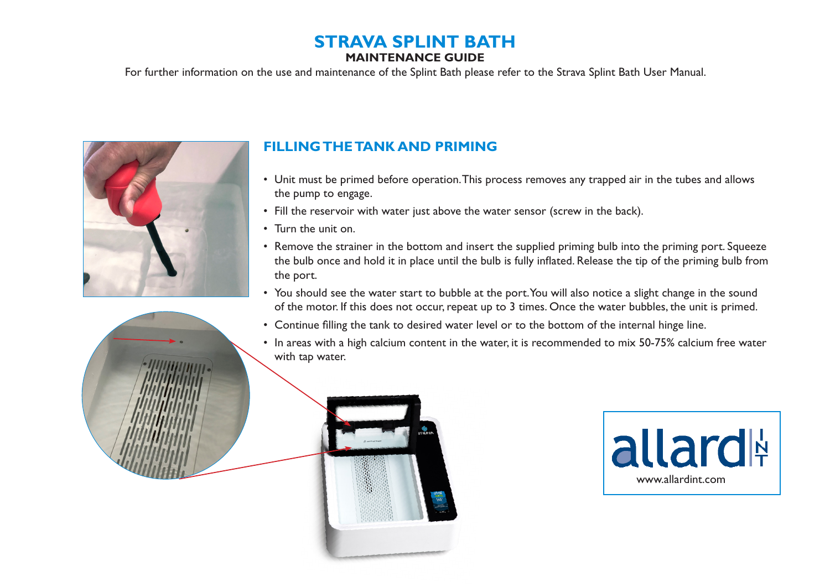# **STRAVA SPLINT BATH**

#### **MAINTENANCE GUIDE**

For further information on the use and maintenance of the Splint Bath please refer to the Strava Splint Bath User Manual.



## **FILLING THE TANK AND PRIMING**

- Unit must be primed before operation. This process removes any trapped air in the tubes and allows the pump to engage.
- Fill the reservoir with water just above the water sensor (screw in the back).
- Turn the unit on.
- Remove the strainer in the bottom and insert the supplied priming bulb into the priming port. Squeeze the bulb once and hold it in place until the bulb is fully inflated. Release the tip of the priming bulb from the port.
- You should see the water start to bubble at the port. You will also notice a slight change in the sound of the motor. If this does not occur, repeat up to 3 times. Once the water bubbles, the unit is primed.
- Continue filling the tank to desired water level or to the bottom of the internal hinge line.
- In areas with a high calcium content in the water, it is recommended to mix 50-75% calcium free water with tap water.